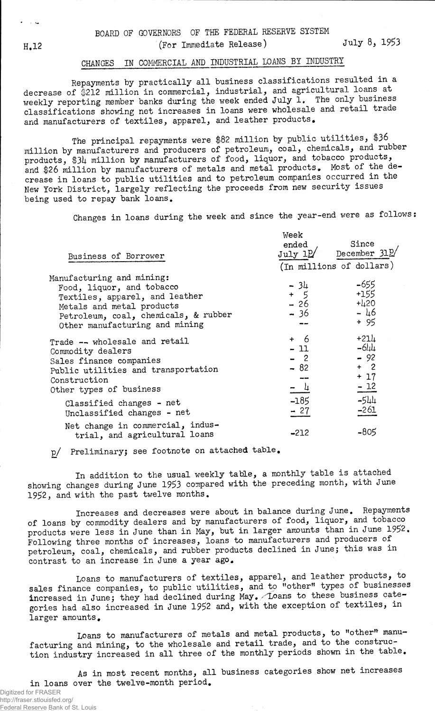## CHANGES IN COMMERCIAL AND INDUSTRIAL LOANS BY INDUSTRY

Repayments by practically all business classifications resulted in a decrease of \$212 million in commercial, industrial, and agricultural loans at weekly reporting member banks during the week ended July  $\tilde{1}$ . The only business classifications showing net increases in loans were wholesale and retail trade and manufacturers of textiles, apparel, and leather products.

The principal repayments were \$82 million by public utilities, \$36 million by manufacturers and producers of petroleum, coal, chemicals, and rubber products, \$34 million by manufacturers of food, liquor, and tobacco products, and \$26 million by manufacturers of metals and metal products. Most of the decrease in loans to public utilities and to petroleum companies occurred in the New York District, largely reflecting the proceeds from new security issues being used to repay bank loans.

Changes in loans during the week and since the year-end were as follows:

|                                                                   | Week              |                          |
|-------------------------------------------------------------------|-------------------|--------------------------|
|                                                                   | ended             | Since                    |
| Business of Borrower                                              |                   | July 12 December 312     |
|                                                                   |                   | (In millions of dollars) |
| Manufacturing and mining:                                         |                   |                          |
| Food, liquor, and tobacco                                         | $-34$             | -655<br>$+155$           |
| Textiles, apparel, and leather                                    | $+5$              |                          |
| Metals and metal products                                         | $-26$             | $+420$                   |
| Petroleum, coal, chemicals, & rubber                              | - 36              | $-46$                    |
| Other manufacturing and mining                                    |                   | $+95$                    |
| Trade -- wholesale and retail                                     | $+ 6$             | $+214$                   |
| Commodity dealers                                                 | $-11$             | $-644$                   |
| Sales finance companies                                           | $-2$              | $-92$                    |
| Public utilities and transportation                               | $-82$             | $+2$                     |
| Construction                                                      |                   | $+ 17$                   |
| Other types of business                                           | $=$ $\frac{1}{1}$ | $-12$                    |
| Classified changes - net                                          | $-185$            | $-544$                   |
| Unclassified changes - net                                        | $-27$             | $-261$                   |
| Net change in commercial, indus-<br>trial, and agricultural loans | $-212$            | $-805$                   |

**p/ PreliminaryJ see footnote on attached table,**

**In addition to the usual weekly table, a monthly table is attached showing changes during June** 1953 **compared with the preceding month, with June** 1952, **and with the past twelve months.**

**Increases and decreases were about in balance during June. Repayments of loans by commodity dealers and by manufacturers of food, liquor, and tobacco products were less in June than in May, but in larger amounts than in June** 1952. **Following three months of increases, loans to manufacturers and producers of petroleum, coal, chemicals, and rubber products declined in June; this was in contrast to an increase in June a year ago.**

**Loans to manufacturers of textiles, apparel, and leather products, to sales finance companies, to public utilities, and to "other" types of businesses increased in June; they had declined during May«/Loans to these business categories had also increased in June** 1952 **and, with the exception of textiles, in larger amounts,**

**Loans to manufacturers of metals and metal products, to "other" manufacturing and mining, to the wholesale and retail trade, and to the construction industry increased in all three of the monthly periods shown in the table.**

As in most recent months, all business categories show net increases in loans over the twelve-month period.

لمحادث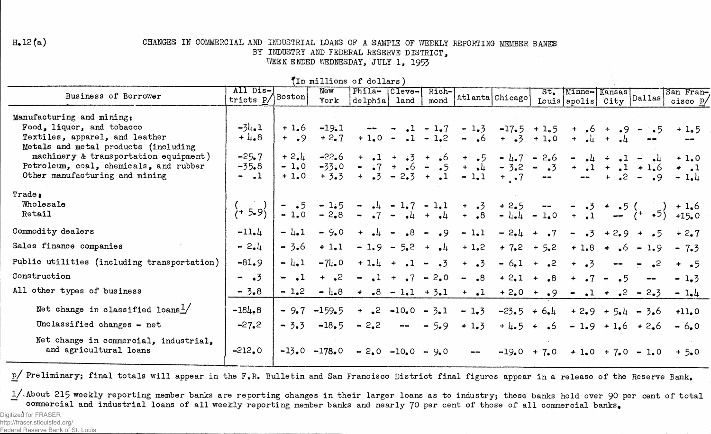## $H<sub>•</sub>12(a)$

## CHANGES IN COMMERCIAL AND INDUSTRIAL LOANS OF A SAMPLE OF WEEKLY REPORTING MEMBER BANKS BY INDUSTRY AND FEDERAL RESERVE DISTRICT, WEEK ENDED WEDNESDAY, JULY 1, 1953

|                                              |                                     |         |          | (TH mitring of notigle)                                                            |      |       |                        |                                                                                           |                                                           |                                |                                 |                                                |                         |
|----------------------------------------------|-------------------------------------|---------|----------|------------------------------------------------------------------------------------|------|-------|------------------------|-------------------------------------------------------------------------------------------|-----------------------------------------------------------|--------------------------------|---------------------------------|------------------------------------------------|-------------------------|
| Business of Borrower                         | All Dis-<br>$'$ tricts p $/$ Boston |         | New      | Phila- Cleve-                                                                      |      | Rich- |                        | Atlanta Chicago                                                                           |                                                           | St. Minne-Kansas               |                                 |                                                | San Fran-               |
|                                              |                                     |         | York     | delphia                                                                            | land | mond  |                        |                                                                                           |                                                           | Louis   apolis   City   Dallas |                                 |                                                | cisco P/                |
| Manufacturing and mining:                    |                                     |         |          |                                                                                    |      |       |                        |                                                                                           |                                                           |                                |                                 |                                                |                         |
| Food, liquor, and tobacco                    | $-34.1$                             |         |          | $+1.6$ $-19.1$ $  -1.7$ $-1.7$ $-1.5$ $-17.5$ $+1.5$                               |      |       |                        |                                                                                           |                                                           |                                |                                 | $+ 6 + 9 - 5$                                  | $+1.5$                  |
| Textiles, apparel, and leather               | $+4.8$                              | $+$ .9  | $+2.7$   |                                                                                    |      |       |                        | $+1.0 - .1 - 1.2 - .6 + .3 + 1.0$                                                         |                                                           |                                | $+$ $-4$ $+$ $-4$ $-$           |                                                |                         |
| Metals and metal products (including         |                                     |         |          |                                                                                    |      |       |                        |                                                                                           |                                                           |                                |                                 |                                                |                         |
| machinery & transportation equipment)        | $-25.7$                             | $+ 2.4$ | $-22.6$  |                                                                                    |      |       |                        | $+$ $\bullet$ 1 + $\bullet$ 3 + $\bullet$ 6 + $\bullet$ 5 - 4 $\bullet$ 7 - 2 $\bullet$ 6 |                                                           |                                |                                 | $ \frac{1}{2}$ + $\frac{1}{2}$ - $\frac{1}{2}$ | $+1.0$                  |
| Petroleum, coal, chemicals, and rubber       | $-35.8$                             | $-1.0$  |          | $-33.0 - 0.7 + 0.6 - 0.5 + 0.4 - 3.2 - 0.3$                                        |      |       |                        |                                                                                           |                                                           |                                |                                 | $+$ , 1 +, 1 $+$ 1.6                           | $+$ $\bullet$ 1         |
| Other manufacturing and mining               | $ -1$                               | $+1.0$  |          | $+3.3 + .3 - 2.3 + .1 - 1.1 + .7$                                                  |      |       |                        |                                                                                           | $\mathbf{m} = \mathbf{m}$ , and $\mathbf{m} = \mathbf{m}$ |                                |                                 |                                                | $-1.4$                  |
| Trade <sub>1</sub>                           |                                     |         |          |                                                                                    |      |       |                        |                                                                                           |                                                           |                                |                                 |                                                |                         |
| Wholesale                                    |                                     |         |          |                                                                                    |      |       |                        |                                                                                           |                                                           |                                |                                 |                                                |                         |
| Retail                                       | $\frac{1}{1}$ 5.9)                  |         |          |                                                                                    |      |       |                        |                                                                                           |                                                           |                                |                                 |                                                |                         |
| Commodity dealers                            | $-11.4$                             | $- 4.1$ | $-9.0$   | $+$ $-4$ $ +8$ $ +9$                                                               |      |       | $-1.1$                 | $-2.4 + .7$                                                                               |                                                           |                                |                                 |                                                | $-3 + 2.9 + 5 + 2.7$    |
| Sales finance companies                      | $-2.4$                              | $-3.6$  | $+1.1$   | $-1.9 - 5.2 + 4 + 1.2$                                                             |      |       |                        | $+7.2 + 5.2$                                                                              |                                                           |                                |                                 |                                                | $+1.8 + .6 - 1.9 - 7.3$ |
| Public utilities (including transportation)  | $-81.9$                             | $- 4.1$ | $-74.0$  |                                                                                    |      |       | $+1.4$ $+ 1 - 3$ $+ 3$ |                                                                                           |                                                           | $-6.1 + .2 + .3$               | $\frac{1}{2}$ and $\frac{1}{2}$ | $\sim$ $\sim$ 2                                | $+$ $\bullet$ 5         |
| Construction                                 | $ \sqrt{3}$                         | $-1$    |          | $+$ $\frac{1}{2}$ - $\frac{1}{2}$ + $\frac{1}{2}$ - 2.0 - .8 + 2.1 + .8 + .7 - .5  |      |       |                        |                                                                                           |                                                           |                                |                                 | $-\!$                                          | $-1.3$                  |
| All other types of business                  | $-3.8$                              | $-1,2$  |          | $-4.8 + .8 - 1.1 + 3.1 + .1 + 2.0 + .9 - .1 + .2 - 2.3$                            |      |       |                        |                                                                                           |                                                           |                                |                                 |                                                | $-1.4$                  |
| Net change in classified loans $\frac{1}{2}$ | $-184.8$                            | $-9.7$  | $-159.5$ | $+$ $\bullet$ 2 $-10\bullet$ 0 $-$ 3 $\bullet$ 1                                   |      |       | $-1.3$                 | $-23.5 + 6.4$                                                                             |                                                           |                                |                                 | $+2.9 + 5.4 - 3.6$                             | $+11.0$                 |
| Unclassified changes - net                   | $-27.2$                             | $-3.3$  | $-18.5$  | $-2.2$ - $-5.9$                                                                    |      |       | $+1.3$                 | $+4.5 + .6$                                                                               |                                                           |                                |                                 | $-1.9 + 1.6 + 2.6$                             | $-6.0$                  |
| Net change in commercial, industrial,        |                                     |         |          |                                                                                    |      |       |                        |                                                                                           |                                                           |                                |                                 |                                                |                         |
| and agricultural loans                       | $-212,0$                            |         |          | $-13.0$ $-178.0$ $-2.0$ $-10.0$ $-9.0$ $ -19.0$ $+7.0$ $+1.0$ $+7.0$ $-1.0$ $+5.0$ |      |       |                        |                                                                                           |                                                           |                                |                                 |                                                |                         |

 $\frac{4}{3}$ In  $min11$ iona of dellera)

 $p/$  Preliminary; final totals will appear in the F.R. Bulletin and San Francisco District final figures appear in a release of the Reserve Bank.

1/ About 215 weekly reporting member banks are reporting changes in their larger loans as to industry; these banks hold over 90 per cent of total commercial and industrial loans of all weekly reporting member banks and nearly 70 per cent of those of all commercial banks.

Digitized for FRASER http://fraser.stlouisfed.org/ Federal Reserve Bank of St. Louis